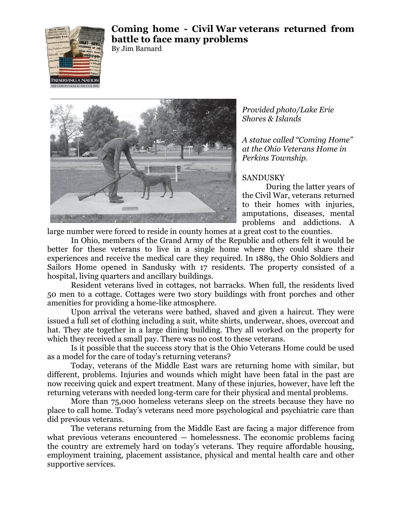

## **Coming home - Civil War veterans returned from battle to face many problems**

By Jim Barnard



*Provided photo/Lake Erie Shores & Islands*

*A statue called "Coming Home" at the Ohio Veterans Home in Perkins Township.*

## SANDUSKY

During the latter years of the Civil War, veterans returned to their homes with injuries, amputations, diseases, mental problems and addictions. A

large number were forced to reside in county homes at a great cost to the counties.

In Ohio, members of the Grand Army of the Republic and others felt it would be better for these veterans to live in a single home where they could share their experiences and receive the medical care they required. In 1889, the Ohio Soldiers and Sailors Home opened in Sandusky with 17 residents. The property consisted of a hospital, living quarters and ancillary buildings.

Resident veterans lived in cottages, not barracks. When full, the residents lived 50 men to a cottage. Cottages were two story buildings with front porches and other amenities for providing a home-like atmosphere.

Upon arrival the veterans were bathed, shaved and given a haircut. They were issued a full set of clothing including a suit, white shirts, underwear, shoes, overcoat and hat. They ate together in a large dining building. They all worked on the property for which they received a small pay. There was no cost to these veterans.

Is it possible that the success story that is the Ohio Veterans Home could be used as a model for the care of today's returning veterans?

Today, veterans of the Middle East wars are returning home with similar, but different, problems. Injuries and wounds which might have been fatal in the past are now receiving quick and expert treatment. Many of these injuries, however, have left the returning veterans with needed long-term care for their physical and mental problems.

More than 75,000 homeless veterans sleep on the streets because they have no place to call home. Today's veterans need more psychological and psychiatric care than did previous veterans.

The veterans returning from the Middle East are facing a major difference from what previous veterans encountered — homelessness. The economic problems facing the country are extremely hard on today's veterans. They require affordable housing, employment training, placement assistance, physical and mental health care and other supportive services.